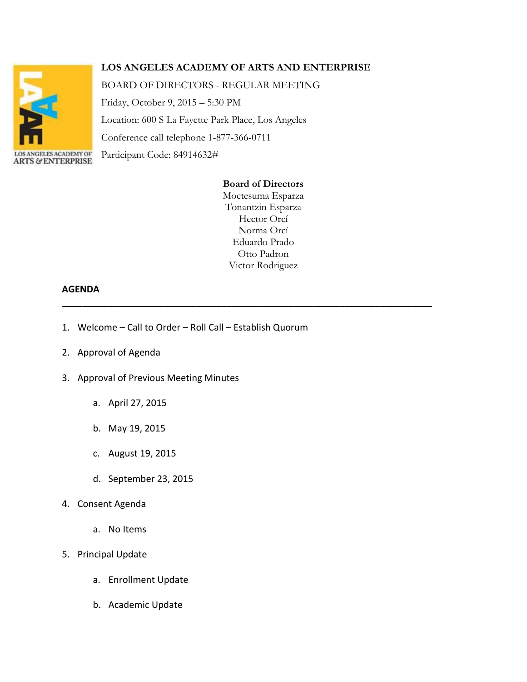

## **LOS ANGELES ACADEMY OF ARTS AND ENTERPRISE**

BOARD OF DIRECTORS - REGULAR MEETING

Friday, October 9, 2015 – 5:30 PM

Location: 600 S La Fayette Park Place, Los Angeles

Conference call telephone 1-877-366-0711

Participant Code: 84914632# **ARTS & ENTERPRISE** 

## **Board of Directors**

Moctesuma Esparza Tonantzin Esparza Hector Orcí Norma Orcí Eduardo Prado Otto Padron Victor Rodriguez

**\_\_\_\_\_\_\_\_\_\_\_\_\_\_\_\_\_\_\_\_\_\_\_\_\_\_\_\_\_\_\_\_\_\_\_\_\_\_\_\_\_\_\_\_\_\_\_\_\_\_\_\_\_\_\_\_\_\_\_\_\_\_\_\_\_\_\_\_\_\_\_\_**

## **AGENDA**

- 1. Welcome Call to Order Roll Call Establish Quorum
- 2. Approval of Agenda
- 3. Approval of Previous Meeting Minutes
	- a. April 27, 2015
	- b. May 19, 2015
	- c. August 19, 2015
	- d. September 23, 2015
- 4. Consent Agenda
	- a. No Items
- 5. Principal Update
	- a. Enrollment Update
	- b. Academic Update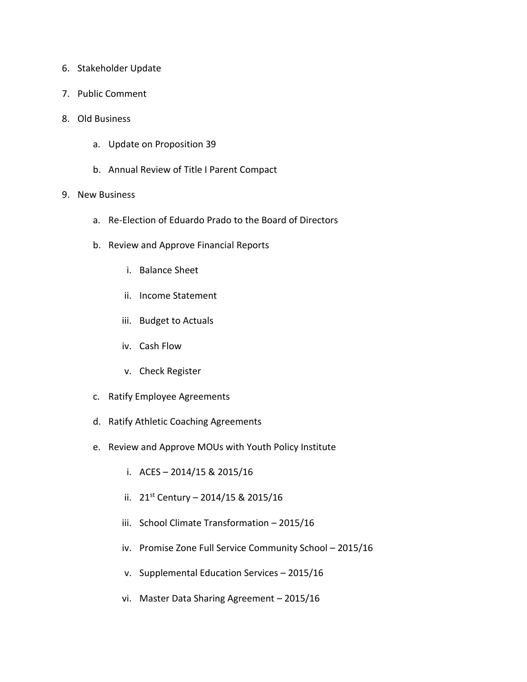- 6. Stakeholder Update
- 7. Public Comment
- 8. Old Business
	- a. Update on Proposition 39
	- b. Annual Review of Title I Parent Compact
- 9. New Business
	- a. Re-Election of Eduardo Prado to the Board of Directors
	- b. Review and Approve Financial Reports
		- i. Balance Sheet
		- ii. Income Statement
		- iii. Budget to Actuals
		- iv. Cash Flow
		- v. Check Register
	- c. Ratify Employee Agreements
	- d. Ratify Athletic Coaching Agreements
	- e. Review and Approve MOUs with Youth Policy Institute
		- i. ACES 2014/15 & 2015/16
		- ii.  $21^{st}$  Century 2014/15 & 2015/16
		- iii. School Climate Transformation 2015/16
		- iv. Promise Zone Full Service Community School 2015/16
		- v. Supplemental Education Services 2015/16
		- vi. Master Data Sharing Agreement 2015/16